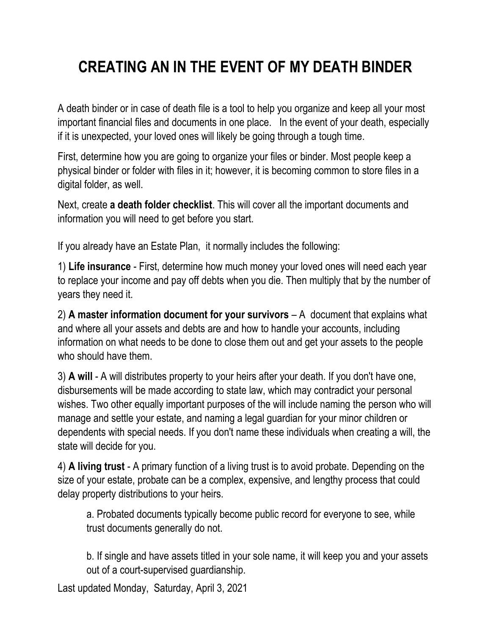## **CREATING AN IN THE EVENT OF MY DEATH BINDER**

A death binder or in case of death file is a tool to help you organize and keep all your most important financial files and documents in one place. In the event of your death, especially if it is unexpected, your loved ones will likely be going through a tough time.

First, determine how you are going to organize your files or binder. Most people keep a physical binder or folder with files in it; however, it is becoming common to store files in a digital folder, as well.

Next, create **a death folder checklist**. This will cover all the important documents and information you will need to get before you start.

If you already have an Estate Plan, it normally includes the following:

1) **Life insurance** - First, determine how much money your loved ones will need each year to replace your income and pay off debts when you die. Then multiply that by the number of years they need it.

2) **A master information document for your survivors** – A document that explains what and where all your assets and debts are and how to handle your accounts, including information on what needs to be done to close them out and get your assets to the people who should have them.

3) **A will** - A will distributes property to your heirs after your death. If you don't have one, disbursements will be made according to state law, which may contradict your personal wishes. Two other equally important purposes of the will include naming the person who will manage and settle your estate, and naming a legal guardian for your minor children or dependents with special needs. If you don't name these individuals when creating a will, the state will decide for you.

4) **A living trust** - A primary function of a living trust is to avoid probate. Depending on the size of your estate, probate can be a complex, expensive, and lengthy process that could delay property distributions to your heirs.

a. Probated documents typically become public record for everyone to see, while trust documents generally do not.

b. If single and have assets titled in your sole name, it will keep you and your assets out of a court-supervised guardianship.

Last updated Monday, Saturday, April 3, 2021